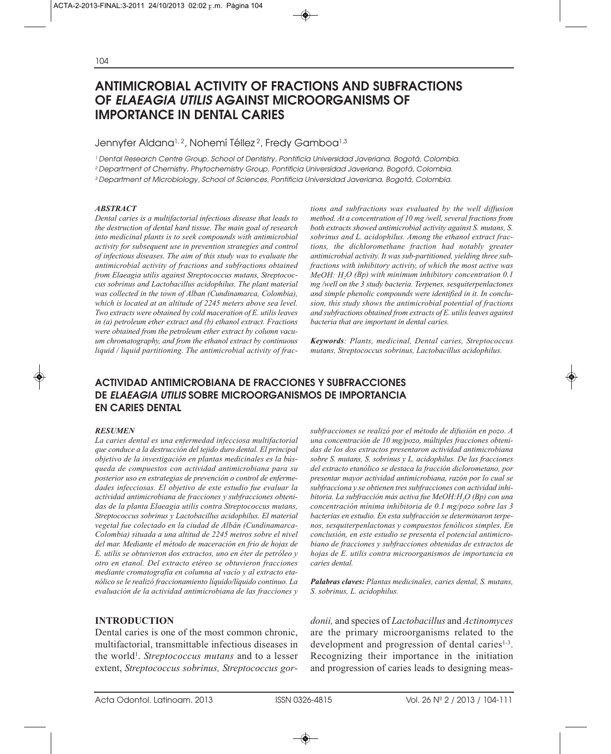# **ANTIMICROBIAL ACTIVITY OF FRACTIONS AND SUBFRACTIONS OF** *ELAEAGIA UTILIS* **AGAINST MICROORGANISMS OF IMPORTANCE IN DENTAL CARIES**

#### Jennyfer Aldana<sup>1,2</sup>, Nohemí Téllez<sup>2</sup>, Fredy Gamboa<sup>1,3</sup>

1 Dental Research Centre Group, School of Dentistry, Pontificia Universidad Javeriana. Bogotá, Colombia.

2 Department of Chemistry, Phytochemistry Group, Pontificia Universidad Javeriana. Bogotá, Colombia.

3 Department of Microbiology, School of Sciences, Pontificia Universidad Javeriana. Bogotá, Colombia.

#### *ABSTRACT*

*Dental caries is a multifactorial infectious disease that leads to the destruction of dental hard tissue. The main goal of research into medicinal plants is to seek compounds with antimicrobial activity for subsequent use in prevention strategies and control of infectious diseases. The aim of this study was to evaluate the antimicrobial activity of fractions and subfractions obtained from Elaeagia utilis against Streptococcus mutans, Streptococcus sobrinus and Lactobacillus acidophilus. The plant material was collected in the town of Alban (Cundinamarca, Colombia), which is located at an altitude of 2245 meters above sea level. Two extracts were obtained by cold maceration of E. utilis leaves in (a) petroleum ether extract and (b) ethanol extract. Fractions were obtained from the petroleum ether extract by column vacuum chromatography, and from the ethanol extract by continuous liquid / liquid partitioning. The antimicrobial activity of frac-* *tions and subfractions was evaluated by the well diffusion method. At a concentration of 10 mg /well, several fractions from both extracts showed antimicrobial activity against S. mutans, S. sobrinus and L. acidophilus. Among the ethanol extract fractions, the dichloromethane fraction had notably greater antimicrobial activity. It was sub-partitioned, yielding three subfractions with inhibitory activity, of which the most active was MeOH: H2O (Bp) with minimum inhibitory concentration 0.1 mg /well on the 3 study bacteria. Terpenes, sesquiterpenlactones and simple phenolic compounds were identified in it. In conclusion, this study shows the antimicrobial potential of fractions and subfractions obtained from extracts of E. utilis leaves against bacteria that are important in dental caries.*

*Keywords: Plants, medicinal, Dental caries, Streptococcus mutans, Streptococcus sobrinus, Lactobacillus acidophilus.*

# **ACTIVIDAD ANTIMICROBIANA DE FRACCIONES Y SUBFRACCIONES DE** *ELAEAGIA UTILIS* **SOBRE MICROORGANISMOS DE IMPORTANCIA EN CARIES DENTAL**

#### *RESUMEN*

*La caries dental es una enfermedad infecciosa multifactorial que conduce a la destrucción del tejido duro dental. El principal objetivo de la investigación en plantas medicinales es la búsqueda de compuestos con actividad antimicrobiana para su posterior uso en estrategias de prevención o control de enfermedades infecciosas. El objetivo de este estudio fue evaluar la actividad antimicrobiana de fracciones y subfracciones obtenidas de la planta Elaeagia utilis contra Streptococcus mutans, Streptococcus sobrinus y Lactobacillus acidophilus. El material vegetal fue colectado en la ciudad de Albán (Cundinamarca-Colombia) situada a una altitud de 2245 metros sobre el nivel del mar. Mediante el método de maceración en frio de hojas de E. utilis se obtuvieron dos extractos, uno en éter de petróleo y otro en etanol. Del extracto etéreo se obtuvieron fracciones mediante cromatografía en columna al vacío y al extracto etanólico se le realizó fraccionamiento líquido/líquido continuo. La evaluación de la actividad antimicrobiana de las fracciones y*

#### **INTRODUCTION**

Dental caries is one of the most common chronic, multifactorial, transmittable infectious diseases in the world<sup>1</sup>. *Streptococcus mutans* and to a lesser extent, *Streptococcus sobrinus, Streptococcus gor-* *subfracciones se realizó por el método de difusión en pozo. A una concentración de 10 mg/pozo, múltiples fracciones obtenidas de los dos extractos presentaron actividad antimicrobiana sobre S. mutans, S. sobrinus y L. acidophilus. De las fracciones del extracto etanólico se destaca la fracción diclorometano, por presentar mayor actividad antimicrobiana, razón por lo cual se subfracciona y se obtienen tres subfracciones con actividad inhibitoria. La subfracción más activa fue MeOH:H2O (Bp) con una concentración mínima inhibitoria de 0.1 mg/pozo sobre las 3 bacterias en estudio. En esta subfracción se determinaron terpenos, sesquiterpenlactonas y compuestos fenólicos simples. En conclusión, en este estudio se presenta el potencial antimicrobiano de fracciones y subfracciones obtenidas de extractos de hojas de E. utilis contra microorganismos de importancia en caries dental.* 

*Palabras claves: Plantas medicinales, caries dental, S. mutans, S. sobrinus, L. acidophilus.* 

*donii,* and species of *Lactobacillus* and *Actinomyces* are the primary microorganisms related to the development and progression of dental caries<sup>1-3</sup>. Recognizing their importance in the initiation and progression of caries leads to designing meas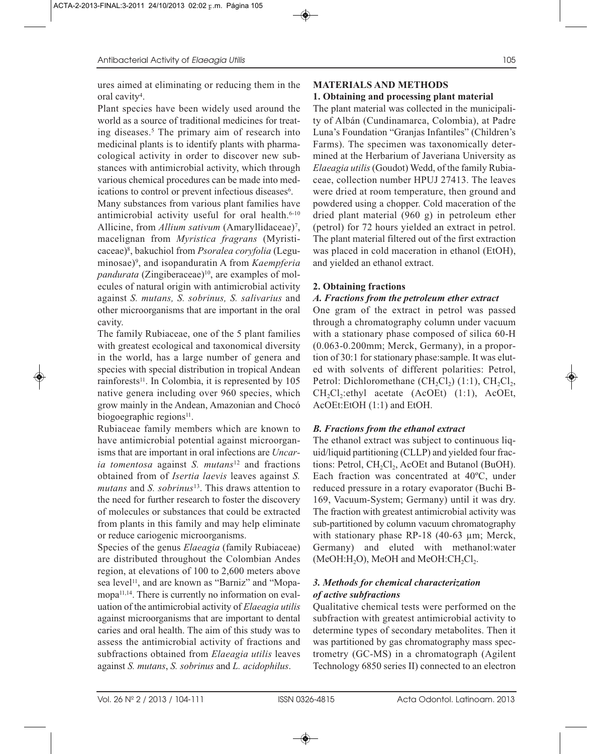ures aimed at eliminating or reducing them in the oral cavity<sup>4</sup>.

Plant species have been widely used around the world as a source of traditional medicines for treating diseases.5 The primary aim of research into medicinal plants is to identify plants with pharmacological activity in order to discover new substances with antimicrobial activity, which through various chemical procedures can be made into medications to control or prevent infectious diseases<sup>6</sup>.

Many substances from various plant families have antimicrobial activity useful for oral health.6-10 Allicine, from *Allium sativum* (Amaryllidaceae)<sup>7</sup>, macelignan from *Myristica fragrans* (Myristicaceae)8, bakuchiol from *Psoralea coryfolia* (Leguminosae)9, and isopanduratin A from *Kaempferia pandurata* (Zingiberaceae)<sup>10</sup>, are examples of molecules of natural origin with antimicrobial activity against *S. mutans, S. sobrinus, S. salivarius* and other microorganisms that are important in the oral cavity.

The family Rubiaceae, one of the 5 plant families with greatest ecological and taxonomical diversity in the world, has a large number of genera and species with special distribution in tropical Andean rainforests<sup>11</sup>. In Colombia, it is represented by 105 native genera including over 960 species, which grow mainly in the Andean, Amazonian and Chocó biogoegraphic regions $11$ .

Rubiaceae family members which are known to have antimicrobial potential against microorganisms that are important in oral infections are *Uncaria tomentosa* against *S. mutans*<sup>12</sup> and fractions obtained from of *Isertia laevis* leaves against *S. mutans* and *S. sobrinus*13. This draws attention to the need for further research to foster the discovery of molecules or substances that could be extracted from plants in this family and may help eliminate or reduce cariogenic microorganisms.

Species of the genus *Elaeagia* (family Rubiaceae) are distributed throughout the Colombian Andes region, at elevations of 100 to 2,600 meters above sea level<sup>11</sup>, and are known as "Barniz" and "Mopamopa<sup>11,14</sup>. There is currently no information on evaluation of the antimicrobial activity of *Elaeagia utilis* against microorganisms that are important to dental caries and oral health. The aim of this study was to assess the antimicrobial activity of fractions and subfractions obtained from *Elaeagia utilis* leaves against *S. mutans*, *S. sobrinus* and *L. acidophilus*.

# **MATERIALS AND METHODS**

## **1. Obtaining and processing plant material**

The plant material was collected in the municipality of Albán (Cundinamarca, Colombia), at Padre Luna's Foundation "Granjas Infantiles" (Children's Farms). The specimen was taxonomically determined at the Herbarium of Javeriana University as *Elaeagia utilis*(Goudot) Wedd, of the family Rubiaceae, collection number HPUJ 27413. The leaves were dried at room temperature, then ground and powdered using a chopper. Cold maceration of the dried plant material (960 g) in petroleum ether (petrol) for 72 hours yielded an extract in petrol. The plant material filtered out of the first extraction was placed in cold maceration in ethanol (EtOH), and yielded an ethanol extract.

## **2. Obtaining fractions**

## *A. Fractions from the petroleum ether extract*

One gram of the extract in petrol was passed through a chromatography column under vacuum with a stationary phase composed of silica 60-H (0.063-0.200mm; Merck, Germany), in a proportion of 30:1 for stationary phase:sample. It was eluted with solvents of different polarities: Petrol, Petrol: Dichloromethane  $(CH, Cl<sub>2</sub>)$  (1:1),  $CH<sub>2</sub>Cl<sub>2</sub>$ ,  $CH_2Cl_2:ethyl$  acetate (AcOEt) (1:1), AcOEt, AcOEt:EtOH (1:1) and EtOH.

## *B. Fractions from the ethanol extract*

The ethanol extract was subject to continuous liquid/liquid partitioning (CLLP) and yielded four fractions: Petrol,  $CH<sub>2</sub>Cl<sub>2</sub>$ , AcOEt and Butanol (BuOH). Each fraction was concentrated at 40ºC, under reduced pressure in a rotary evaporator (Buchi B-169, Vacuum-System; Germany) until it was dry. The fraction with greatest antimicrobial activity was sub-partitioned by column vacuum chromatography with stationary phase RP-18 (40-63 µm; Merck, Germany) and eluted with methanol:water  $(MeOH:H<sub>2</sub>O)$ , MeOH and MeOH:CH<sub>2</sub>Cl<sub>2</sub>.

## *3. Methods for chemical characterization of active subfractions*

Qualitative chemical tests were performed on the subfraction with greatest antimicrobial activity to determine types of secondary metabolites. Then it was partitioned by gas chromatography mass spectrometry (GC-MS) in a chromatograph (Agilent Technology 6850 series II) connected to an electron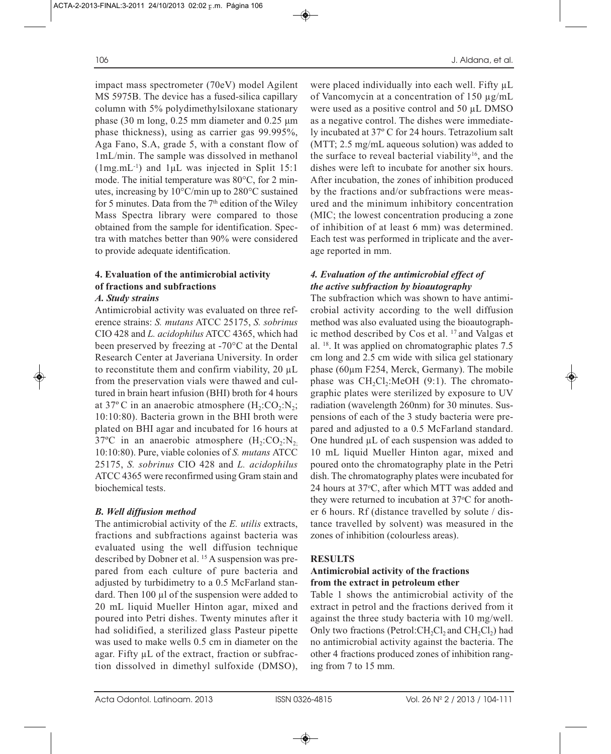impact mass spectrometer (70eV) model Agilent MS 5975B. The device has a fused-silica capillary column with 5% polydimethylsiloxane stationary phase (30 m long, 0.25 mm diameter and 0.25 μm phase thickness), using as carrier gas 99.995%, Aga Fano, S.A, grade 5, with a constant flow of 1mL/min. The sample was dissolved in methanol

(1mg.mL-1) and 1μL was injected in Split 15:1 mode. The initial temperature was 80°C, for 2 minutes, increasing by 10°C/min up to 280°C sustained for 5 minutes. Data from the  $7<sup>th</sup>$  edition of the Wiley Mass Spectra library were compared to those obtained from the sample for identification. Spectra with matches better than 90% were considered to provide adequate identification.

# **4. Evaluation of the antimicrobial activity of fractions and subfractions**

## *A. Study strains*

Antimicrobial activity was evaluated on three reference strains: *S. mutans* ATCC 25175, *S. sobrinus* CIO 428 and *L. acidophilus* ATCC 4365, which had been preserved by freezing at -70°C at the Dental Research Center at Javeriana University. In order to reconstitute them and confirm viability,  $20 \mu L$ from the preservation vials were thawed and cultured in brain heart infusion (BHI) broth for 4 hours at 37 $\degree$ C in an anaerobic atmosphere  $(H_2:CO_2:N_2;$ 10:10:80). Bacteria grown in the BHI broth were plated on BHI agar and incubated for 16 hours at 37°C in an anaerobic atmosphere  $(H_2:CO_2:N_2)$ ; 10:10:80). Pure, viable colonies of *S. mutans* ATCC 25175, *S. sobrinus* CIO 428 and *L. acidophilus* ATCC 4365 were reconfirmed using Gram stain and biochemical tests.

#### *B. Well diffusion method*

The antimicrobial activity of the *E. utilis* extracts, fractions and subfractions against bacteria was evaluated using the well diffusion technique described by Dobner et al. 15 A suspension was prepared from each culture of pure bacteria and adjusted by turbidimetry to a 0.5 McFarland standard. Then 100 µl of the suspension were added to 20 mL liquid Mueller Hinton agar, mixed and poured into Petri dishes. Twenty minutes after it had solidified, a sterilized glass Pasteur pipette was used to make wells 0.5 cm in diameter on the agar. Fifty  $\mu$ L of the extract, fraction or subfraction dissolved in dimethyl sulfoxide (DMSO),

were placed individually into each well. Fifty  $\mu$ L of Vancomycin at a concentration of 150 µg/mL were used as a positive control and 50 µL DMSO as a negative control. The dishes were immediately incubated at 37º C for 24 hours. Tetrazolium salt (MTT; 2.5 mg/mL aqueous solution) was added to the surface to reveal bacterial viability<sup>16</sup>, and the dishes were left to incubate for another six hours. After incubation, the zones of inhibition produced by the fractions and/or subfractions were measured and the minimum inhibitory concentration (MIC; the lowest concentration producing a zone of inhibition of at least 6 mm) was determined. Each test was performed in triplicate and the average reported in mm.

#### *4. Evaluation of the antimicrobial effect of the active subfraction by bioautography*

The subfraction which was shown to have antimicrobial activity according to the well diffusion method was also evaluated using the bioautographic method described by Cos et al. 17 and Valgas et al. 18. It was applied on chromatographic plates 7.5 cm long and 2.5 cm wide with silica gel stationary phase (60µm F254, Merck, Germany). The mobile phase was  $CH<sub>2</sub>Cl<sub>2</sub>:MeOH (9:1)$ . The chromatographic plates were sterilized by exposure to UV radiation (wavelength 260nm) for 30 minutes. Suspensions of each of the 3 study bacteria were prepared and adjusted to a 0.5 McFarland standard. One hundred  $\mu$ L of each suspension was added to 10 mL liquid Mueller Hinton agar, mixed and poured onto the chromatography plate in the Petri dish. The chromatography plates were incubated for 24 hours at 37oC, after which MTT was added and they were returned to incubation at 37 °C for another 6 hours. Rf (distance travelled by solute / distance travelled by solvent) was measured in the zones of inhibition (colourless areas).

#### **RESULTS**

#### **Antimicrobial activity of the fractions from the extract in petroleum ether**

Table 1 shows the antimicrobial activity of the extract in petrol and the fractions derived from it against the three study bacteria with 10 mg/well. Only two fractions (Petrol:CH<sub>2</sub>Cl<sub>2</sub> and CH<sub>2</sub>Cl<sub>2</sub>) had no antimicrobial activity against the bacteria. The other 4 fractions produced zones of inhibition ranging from 7 to 15 mm.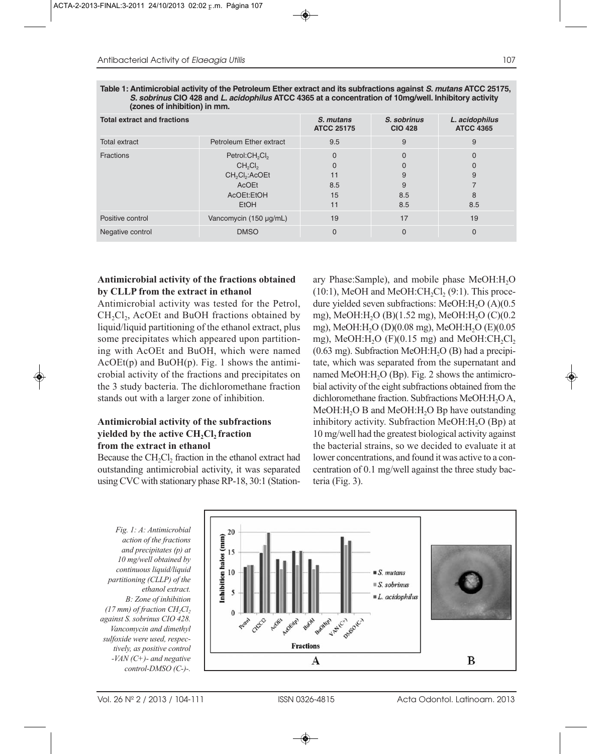| <b>Total extract and fractions</b> |                                                                                                                                                            | S. mutans<br><b>ATCC 25175</b>  | S. sobrinus<br><b>CIO 428</b>                | L. acidophilus<br><b>ATCC 4365</b> |
|------------------------------------|------------------------------------------------------------------------------------------------------------------------------------------------------------|---------------------------------|----------------------------------------------|------------------------------------|
| <b>Total extract</b>               | Petroleum Ether extract                                                                                                                                    | 9.5                             | 9                                            | 9                                  |
| <b>Fractions</b>                   | Petrol: CH <sub>2</sub> Cl <sub>2</sub><br>CH <sub>2</sub> Cl <sub>2</sub><br>CH <sub>2</sub> Cl <sub>2</sub> :ACOEt<br>AcOEt<br>AcOEt:EtOH<br><b>EtOH</b> | 0<br>0<br>11<br>8.5<br>15<br>11 | $\Omega$<br>$\Omega$<br>9<br>9<br>8.5<br>8.5 | 0<br>9<br>8<br>8.5                 |
| Positive control                   | Vancomycin (150 µg/mL)                                                                                                                                     | 19                              | 17                                           | 19                                 |
| Negative control                   | <b>DMSO</b>                                                                                                                                                | 0                               | $\Omega$                                     | $\Omega$                           |

**Table 1: Antimicrobial activity of the Petroleum Ether extract and its subfractions against S. mutans ATCC 25175, S. sobrinus CIO 428 and L. acidophilus ATCC 4365 at a concentration of 10mg/well. Inhibitory activity (zones of inhibition) in mm.**

#### **Antimicrobial activity of the fractions obtained by CLLP from the extract in ethanol**

Antimicrobial activity was tested for the Petrol,  $CH<sub>2</sub>Cl<sub>2</sub>$ , AcOEt and BuOH fractions obtained by liquid/liquid partitioning of the ethanol extract, plus some precipitates which appeared upon partitioning with AcOEt and BuOH, which were named  $AcOE(p)$  and  $BuOH(p)$ . Fig. 1 shows the antimicrobial activity of the fractions and precipitates on the 3 study bacteria. The dichloromethane fraction stands out with a larger zone of inhibition.

#### **Antimicrobial activity of the subfractions yielded by the active CH<sub>2</sub>Cl<sub>2</sub> fraction from the extract in ethanol**

Because the CH<sub>2</sub>Cl<sub>2</sub> fraction in the ethanol extract had outstanding antimicrobial activity, it was separated using CVC with stationary phase RP-18, 30:1 (Stationary Phase: Sample), and mobile phase MeOH: H<sub>2</sub>O  $(10:1)$ , MeOH and MeOH:CH<sub>2</sub>Cl<sub>2</sub>  $(9:1)$ . This procedure yielded seven subfractions: MeOH: $H<sub>2</sub>O (A)(0.5)$ mg), MeOH:H<sub>2</sub>O (B)(1.52 mg), MeOH:H<sub>2</sub>O (C)(0.2 mg), MeOH:H<sub>2</sub>O (D)(0.08 mg), MeOH:H<sub>2</sub>O (E)(0.05 mg), MeOH: $H<sub>2</sub>O$  (F)(0.15 mg) and MeOH: $CH<sub>2</sub>Cl<sub>2</sub>$  $(0.63 \text{ mg})$ . Subfraction MeOH:H<sub>2</sub>O (B) had a precipitate, which was separated from the supernatant and named MeOH: $H<sub>2</sub>O$  (Bp). Fig. 2 shows the antimicrobial activity of the eight subfractions obtained from the dichloromethane fraction. Subfractions MeOH:H<sub>2</sub>O A, MeOH:H<sub>2</sub>O B and MeOH:H<sub>2</sub>O Bp have outstanding inhibitory activity. Subfraction MeOH: $H_2O$  (Bp) at 10 mg/well had the greatest biological activity against the bacterial strains, so we decided to evaluate it at lower concentrations, and found it was active to a concentration of 0.1 mg/well against the three study bacteria (Fig. 3).

*Fig. 1: A: Antimicrobial action of the fractions and precipitates (p) at 10 mg/well obtained by continuous liquid/liquid partitioning (CLLP) of the ethanol extract. B: Zone of inhibition*   $(17 \text{ mm})$  of fraction  $CH_2Cl_2$ *against S. sobrinus CIO 428. Vancomycin and dimethyl sulfoxide were used, respectively, as positive control -VAN (C+)- and negative control-DMSO (C-)-.*

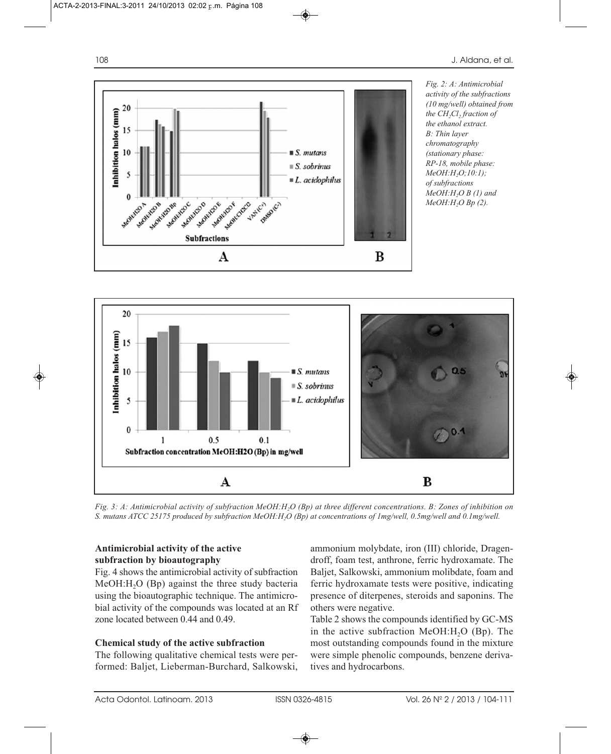





*Fig. 3: A: Antimicrobial activity of subfraction MeOH:H2O (Bp) at three different concentrations. B: Zones of inhibition on S. mutans ATCC 25175 produced by subfraction MeOH:H2O (Bp) at concentrations of 1mg/well, 0.5mg/well and 0.1mg/well.*

## **Antimicrobial activity of the active subfraction by bioautography**

Fig. 4 shows the antimicrobial activity of subfraction MeOH:H<sub>2</sub>O (Bp) against the three study bacteria using the bioautographic technique. The antimicrobial activity of the compounds was located at an Rf zone located between 0.44 and 0.49.

## **Chemical study of the active subfraction**

The following qualitative chemical tests were performed: Baljet, Lieberman-Burchard, Salkowski, ammonium molybdate, iron (III) chloride, Dragendroff, foam test, anthrone, ferric hydroxamate. The Baljet, Salkowski, ammonium molibdate, foam and ferric hydroxamate tests were positive, indicating presence of diterpenes, steroids and saponins. The others were negative.

Table 2 shows the compounds identified by GC-MS in the active subfraction MeOH: $H_2O$  (Bp). The most outstanding compounds found in the mixture were simple phenolic compounds, benzene derivatives and hydrocarbons.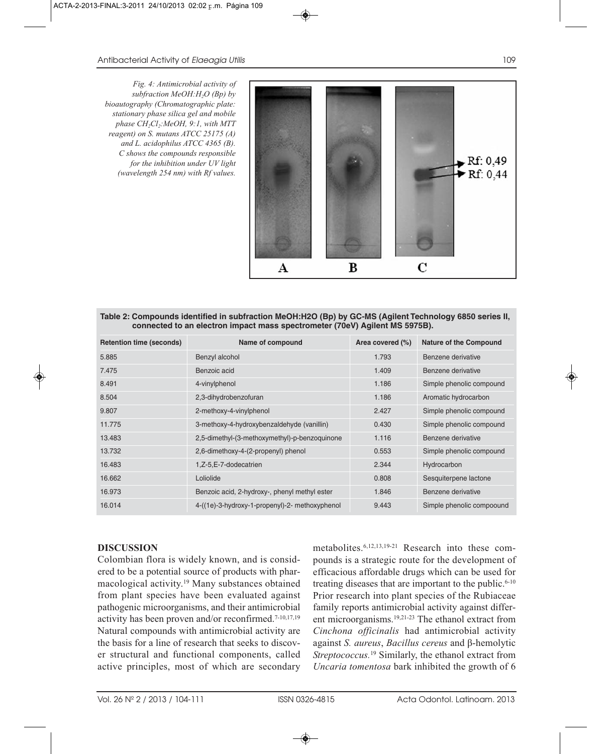*Fig. 4: Antimicrobial activity of subfraction MeOH:H2O (Bp) by bioautography (Chromatographic plate: stationary phase silica gel and mobile phase CH2Cl2:MeOH, 9:1, with MTT reagent) on S. mutans ATCC 25175 (A) and L. acidophilus ATCC 4365 (B). C shows the compounds responsible for the inhibition under UV light (wavelength 254 nm) with Rf values.*



**Table 2: Compounds identified in subfraction MeOH:H2O (Bp) by GC-MS (Agilent Technology 6850 series II, connected to an electron impact mass spectrometer (70eV) Agilent MS 5975B).**

| <b>Retention time (seconds)</b> | Name of compound                               | Area covered (%) | <b>Nature of the Compound</b> |
|---------------------------------|------------------------------------------------|------------------|-------------------------------|
| 5.885                           | Benzyl alcohol                                 | 1.793            | Benzene derivative            |
| 7.475                           | Benzoic acid                                   | 1.409            | Benzene derivative            |
| 8.491                           | 4-vinylphenol                                  | 1.186            | Simple phenolic compound      |
| 8.504                           | 2,3-dihydrobenzofuran                          | 1.186            | Aromatic hydrocarbon          |
| 9.807                           | 2-methoxy-4-vinylphenol                        | 2.427            | Simple phenolic compound      |
| 11.775                          | 3-methoxy-4-hydroxybenzaldehyde (vanillin)     | 0.430            | Simple phenolic compound      |
| 13.483                          | 2,5-dimethyl-(3-methoxymethyl)-p-benzoquinone  | 1.116            | Benzene derivative            |
| 13.732                          | 2,6-dimethoxy-4-(2-propenyl) phenol            | 0.553            | Simple phenolic compound      |
| 16.483                          | 1,Z-5,E-7-dodecatrien                          | 2.344            | Hydrocarbon                   |
| 16.662                          | Loliolide                                      | 0.808            | Sesquiterpene lactone         |
| 16.973                          | Benzoic acid, 2-hydroxy-, phenyl methyl ester  | 1.846            | Benzene derivative            |
| 16.014                          | 4-((1e)-3-hydroxy-1-propenyl)-2- methoxyphenol | 9.443            | Simple phenolic compoound     |

## **DISCUSSION**

Colombian flora is widely known, and is considered to be a potential source of products with pharmacological activity.19 Many substances obtained from plant species have been evaluated against pathogenic microorganisms, and their antimicrobial activity has been proven and/or reconfirmed.7-10,17,19 Natural compounds with antimicrobial activity are the basis for a line of research that seeks to discover structural and functional components, called active principles, most of which are secondary metabolites.6,12,13,19-21 Research into these compounds is a strategic route for the development of efficacious affordable drugs which can be used for treating diseases that are important to the public.<sup>6-10</sup> Prior research into plant species of the Rubiaceae family reports antimicrobial activity against different microorganisms.19,21-23 The ethanol extract from *Cinchona officinalis* had antimicrobial activity against *S. aureus*, *Bacillus cereus* and β-hemolytic *Streptococcus.*<sup>19</sup> Similarly, the ethanol extract from *Uncaria tomentosa* bark inhibited the growth of 6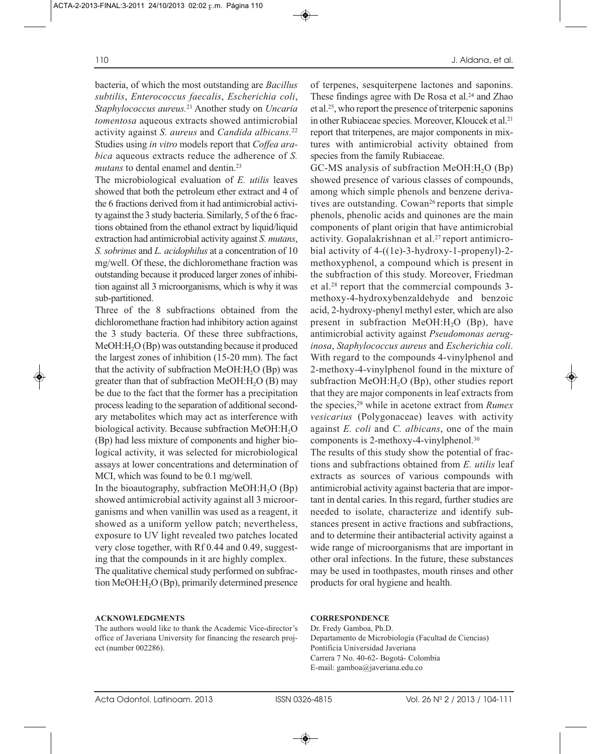bacteria, of which the most outstanding are *Bacillus subtilis*, *Enterococcus faecalis*, *Escherichia coli*, *Staphylococcus aureus.*<sup>21</sup> Another study on *Uncaria tomentosa* aqueous extracts showed antimicrobial activity against *S. aureus* and *Candida albicans.*<sup>22</sup> Studies using *in vitro* models report that *Coffea arabica* aqueous extracts reduce the adherence of *S. mutans* to dental enamel and dentin.<sup>23</sup>

The microbiological evaluation of *E. utilis* leaves showed that both the petroleum ether extract and 4 of the 6 fractions derived from it had antimicrobial activity against the 3 study bacteria. Similarly, 5 of the 6 fractions obtained from the ethanol extract by liquid/liquid extraction had antimicrobial activity against *S. mutans*, *S. sobrinus* and *L. acidophilus* at a concentration of 10 mg/well. Of these, the dichloromethane fraction was outstanding because it produced larger zones of inhibition against all 3 microorganisms, which is why it was sub-partitioned.

Three of the 8 subfractions obtained from the dichloromethane fraction had inhibitory action against the 3 study bacteria. Of these three subfractions, MeOH:H<sub>2</sub>O (Bp) was outstanding because it produced the largest zones of inhibition (15-20 mm). The fact that the activity of subfraction MeOH: $H<sub>2</sub>O$  (Bp) was greater than that of subfraction MeOH: $H_2O$  (B) may be due to the fact that the former has a precipitation process leading to the separation of additional secondary metabolites which may act as interference with biological activity. Because subfraction  $MeOH:H<sub>2</sub>O$ (Bp) had less mixture of components and higher biological activity, it was selected for microbiological assays at lower concentrations and determination of MCI, which was found to be 0.1 mg/well.

In the bioautography, subfraction MeOH: $H_2O$  (Bp) showed antimicrobial activity against all 3 microorganisms and when vanillin was used as a reagent, it showed as a uniform yellow patch; nevertheless, exposure to UV light revealed two patches located very close together, with Rf 0.44 and 0.49, suggesting that the compounds in it are highly complex.

The qualitative chemical study performed on subfraction MeOH:H<sub>2</sub>O (Bp), primarily determined presence

#### **ACKNOWLEDGMENTS**

The authors would like to thank the Academic Vice-director's office of Javeriana University for financing the research project (number 002286).

of terpenes, sesquiterpene lactones and saponins. These findings agree with De Rosa et al.<sup>24</sup> and Zhao et al.25, who report the presence of triterpenic saponins in other Rubiaceae species. Moreover, Kloucek et al.<sup>21</sup> report that triterpenes, are major components in mixtures with antimicrobial activity obtained from species from the family Rubiaceae.

 $GC-MS$  analysis of subfraction MeOH: $H<sub>2</sub>O$  (Bp) showed presence of various classes of compounds, among which simple phenols and benzene derivatives are outstanding. Cowan<sup>26</sup> reports that simple phenols, phenolic acids and quinones are the main components of plant origin that have antimicrobial activity. Gopalakrishnan et al.<sup>27</sup> report antimicrobial activity of 4-((1e)-3-hydroxy-1-propenyl)-2 methoxyphenol, a compound which is present in the subfraction of this study. Moreover, Friedman et al.28 report that the commercial compounds 3 methoxy-4-hydroxybenzaldehyde and benzoic acid, 2-hydroxy-phenyl methyl ester, which are also present in subfraction MeOH: $H<sub>2</sub>O$  (Bp), have antimicrobial activity against *Pseudomonas aeruginosa*, *Staphylococcus aureus* and *Escherichia coli*. With regard to the compounds 4-vinylphenol and 2-methoxy-4-vinylphenol found in the mixture of subfraction MeOH:H<sub>2</sub>O (Bp), other studies report that they are major components in leaf extracts from the species,29 while in acetone extract from *Rumex vesicarius* (Polygonaceae) leaves with activity against *E. coli* and *C. albicans*, one of the main components is 2-methoxy-4-vinylphenol.30

The results of this study show the potential of fractions and subfractions obtained from *E. utilis* leaf extracts as sources of various compounds with antimicrobial activity against bacteria that are important in dental caries. In this regard, further studies are needed to isolate, characterize and identify substances present in active fractions and subfractions, and to determine their antibacterial activity against a wide range of microorganisms that are important in other oral infections. In the future, these substances may be used in toothpastes, mouth rinses and other products for oral hygiene and health.

#### **CORRESPONDENCE**

Dr. Fredy Gamboa, Ph.D. Departamento de Microbiología (Facultad de Ciencias) Pontificia Universidad Javeriana Carrera 7 No. 40-62- Bogotá- Colombia E-mail: gamboa@javeriana.edu.co